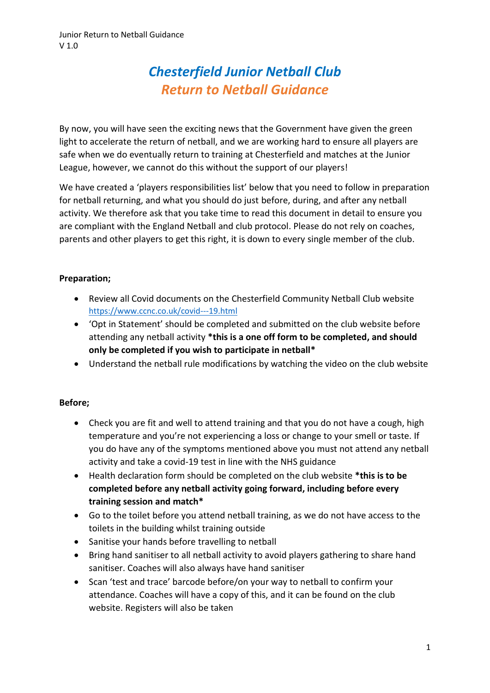# *Chesterfield Junior Netball Club Return to Netball Guidance*

By now, you will have seen the exciting news that the Government have given the green light to accelerate the return of netball, and we are working hard to ensure all players are safe when we do eventually return to training at Chesterfield and matches at the Junior League, however, we cannot do this without the support of our players!

We have created a 'players responsibilities list' below that you need to follow in preparation for netball returning, and what you should do just before, during, and after any netball activity. We therefore ask that you take time to read this document in detail to ensure you are compliant with the England Netball and club protocol. Please do not rely on coaches, parents and other players to get this right, it is down to every single member of the club.

## **Preparation;**

- Review all Covid documents on the Chesterfield Community Netball Club website <https://www.ccnc.co.uk/covid---19.html>
- 'Opt in Statement' should be completed and submitted on the club website before attending any netball activity **\*this is a one off form to be completed, and should only be completed if you wish to participate in netball\***
- Understand the netball rule modifications by watching the video on the club website

## **Before;**

- Check you are fit and well to attend training and that you do not have a cough, high temperature and you're not experiencing a loss or change to your smell or taste. If you do have any of the symptoms mentioned above you must not attend any netball activity and take a covid-19 test in line with the NHS guidance
- Health declaration form should be completed on the club website **\*this is to be completed before any netball activity going forward, including before every training session and match\***
- Go to the toilet before you attend netball training, as we do not have access to the toilets in the building whilst training outside
- Sanitise your hands before travelling to netball
- Bring hand sanitiser to all netball activity to avoid players gathering to share hand sanitiser. Coaches will also always have hand sanitiser
- Scan 'test and trace' barcode before/on your way to netball to confirm your attendance. Coaches will have a copy of this, and it can be found on the club website. Registers will also be taken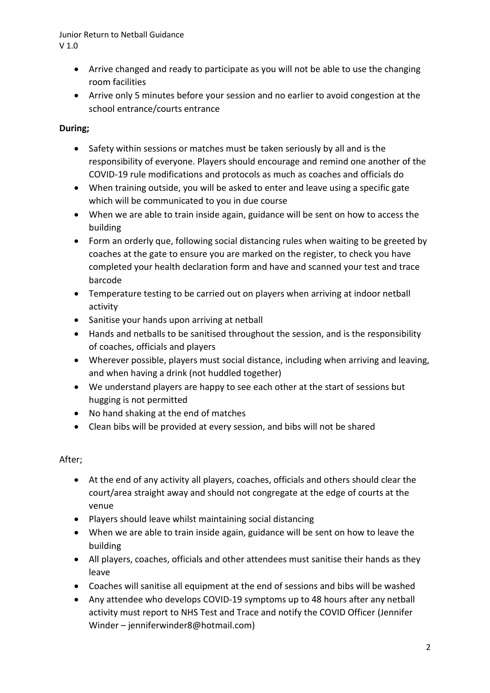#### Junior Return to Netball Guidance V 1.0

- Arrive changed and ready to participate as you will not be able to use the changing room facilities
- Arrive only 5 minutes before your session and no earlier to avoid congestion at the school entrance/courts entrance

## **During;**

- Safety within sessions or matches must be taken seriously by all and is the responsibility of everyone. Players should encourage and remind one another of the COVID-19 rule modifications and protocols as much as coaches and officials do
- When training outside, you will be asked to enter and leave using a specific gate which will be communicated to you in due course
- When we are able to train inside again, guidance will be sent on how to access the building
- Form an orderly que, following social distancing rules when waiting to be greeted by coaches at the gate to ensure you are marked on the register, to check you have completed your health declaration form and have and scanned your test and trace barcode
- Temperature testing to be carried out on players when arriving at indoor netball activity
- Sanitise your hands upon arriving at netball
- Hands and netballs to be sanitised throughout the session, and is the responsibility of coaches, officials and players
- Wherever possible, players must social distance, including when arriving and leaving, and when having a drink (not huddled together)
- We understand players are happy to see each other at the start of sessions but hugging is not permitted
- No hand shaking at the end of matches
- Clean bibs will be provided at every session, and bibs will not be shared

## After;

- At the end of any activity all players, coaches, officials and others should clear the court/area straight away and should not congregate at the edge of courts at the venue
- Players should leave whilst maintaining social distancing
- When we are able to train inside again, guidance will be sent on how to leave the building
- All players, coaches, officials and other attendees must sanitise their hands as they leave
- Coaches will sanitise all equipment at the end of sessions and bibs will be washed
- Any attendee who develops COVID-19 symptoms up to 48 hours after any netball activity must report to NHS Test and Trace and notify the COVID Officer (Jennifer Winder – jenniferwinder8@hotmail.com)